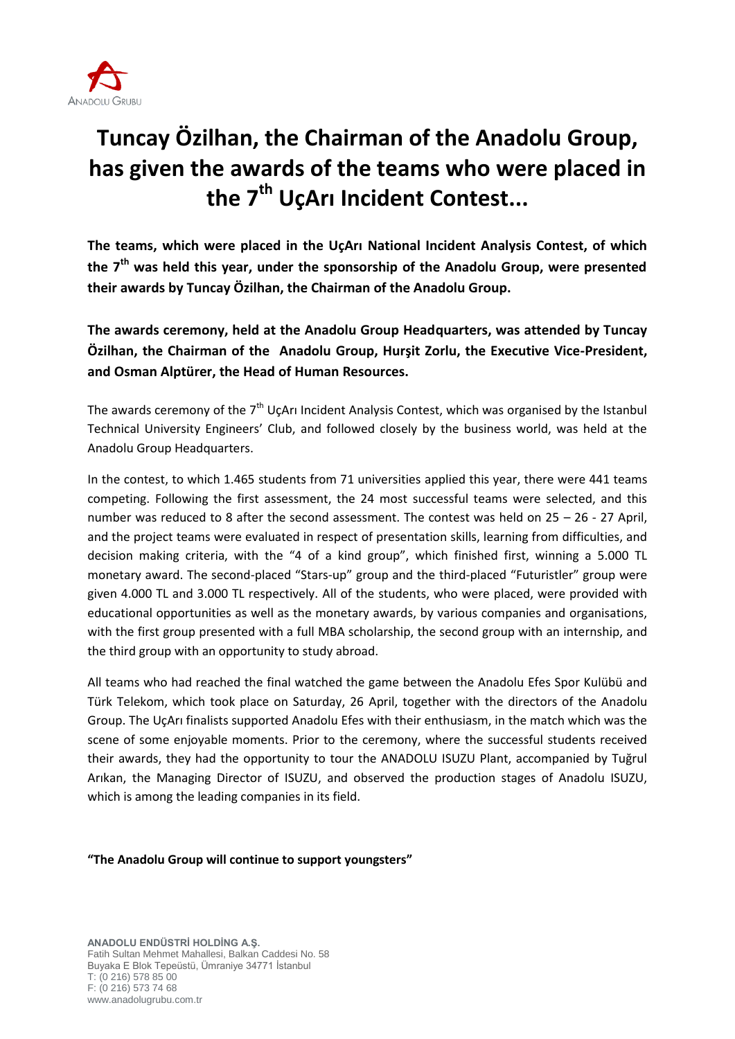

## **Tuncay Özilhan, the Chairman of the Anadolu Group, has given the awards of the teams who were placed in the 7th UçArı Incident Contest...**

**The teams, which were placed in the UçArı National Incident Analysis Contest, of which the 7th was held this year, under the sponsorship of the Anadolu Group, were presented their awards by Tuncay Özilhan, the Chairman of the Anadolu Group.**

**The awards ceremony, held at the Anadolu Group Headquarters, was attended by Tuncay Özilhan, the Chairman of the Anadolu Group, Hurşit Zorlu, the Executive Vice-President, and Osman Alptürer, the Head of Human Resources.**

The awards ceremony of the  $7<sup>th</sup>$  UçArı Incident Analysis Contest, which was organised by the Istanbul Technical University Engineers' Club, and followed closely by the business world, was held at the Anadolu Group Headquarters.

In the contest, to which 1.465 students from 71 universities applied this year, there were 441 teams competing. Following the first assessment, the 24 most successful teams were selected, and this number was reduced to 8 after the second assessment. The contest was held on 25 – 26 - 27 April, and the project teams were evaluated in respect of presentation skills, learning from difficulties, and decision making criteria, with the "4 of a kind group", which finished first, winning a 5.000 TL monetary award. The second-placed "Stars-up" group and the third-placed "Futuristler" group were given 4.000 TL and 3.000 TL respectively. All of the students, who were placed, were provided with educational opportunities as well as the monetary awards, by various companies and organisations, with the first group presented with a full MBA scholarship, the second group with an internship, and the third group with an opportunity to study abroad.

All teams who had reached the final watched the game between the Anadolu Efes Spor Kulübü and Türk Telekom, which took place on Saturday, 26 April, together with the directors of the Anadolu Group. The UçArı finalists supported Anadolu Efes with their enthusiasm, in the match which was the scene of some enjoyable moments. Prior to the ceremony, where the successful students received their awards, they had the opportunity to tour the ANADOLU ISUZU Plant, accompanied by Tuğrul Arıkan, the Managing Director of ISUZU, and observed the production stages of Anadolu ISUZU, which is among the leading companies in its field.

**"The Anadolu Group will continue to support youngsters"**